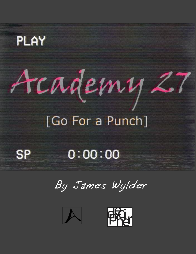## PLAY

# Academy 27

## [Go For a Punch]



### $0:00:00$

By James Wylder



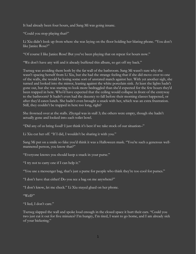It had already been four hours, and Sang Mi was going insane.

"Could you stop playing that?"

Li Xiu didn't look up from where she was laying on the floor holding her blaring phone. "You don't like Janice Rose?"

"Of course I like Janice Rose! But you've been playing that on repeat for hours now."

"We don't have any wifi and it already buffered this album, so get off my back."

Tsetseg was avoiding them both by the far wall of the bathroom. Sang Mi wasn't sure why she wasn't spacing herself from Li Xiu, but she had the strange feeling that if she did move over to one of the walls, she would be losing some sort of unstated match against her. With yet another sigh, she turned and looked into the mirror, leaning against the white porcelain sink. At least the lights hadn't gone out, but she was starting to look more bedraggled than she'd expected for the few hours they'd been trapped in here. Who'd have expected that the ceiling would collapse in front of the entryway to the bathroom? It hadn't even had the decency to fall before their morning classes happened, or after they'd eaten lunch. She hadn't even brought a snack with her, which was an extra frustration. Still, they couldn't be trapped in here too long, right?

She frowned over at the stalls. Zhyrgal was in stall 3; the others were empty, though she hadn't actually gone and looked into each toilet bowl.

"Did any of us bring food? I just think it's best if we take stock of our situation–"

Li Xiu cut her off. "If I did, I wouldn't be sharing it with you."

Sang Mi put on a smile so fake you'd think it was a Halloween mask. "You're such a generous wellmannered person, you know that?"

"Everyone knows you should keep a snack in your purse."

"I try not to carry one if I can help it."

"You use a messenger bag, that's just a purse for people who think they're too cool for purses."

"I don't have that either! Do you see a bag on me anywhere?"

"I don't know, let me check." Li Xiu stayed glued on her phone.

"Well?"

"I lied, I don't care."

Tsetseg slapped the wall and spoke loud enough in the closed space it hurt their ears. "Could you two just cut it out for five minutes? I'm hungry, I'm tired, I want to go home, and I am already sick of your bickering."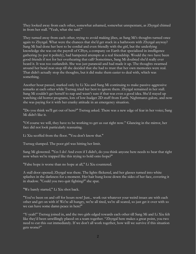They looked away from each other, somewhat ashamed, somewhat unrepentant, as Zhyrgal chimed in from her stall. "Yeah, what she said."

They turned away from each other, trying to avoid making jibes, as Sang Mi's thoughts turned once again to Zhyrgal. What were the chances that she'd get stuck in a bathroom with Zhyrgal anyway? Sang Mi had done her best to be cordial and even friendly with the girl, but the underlying knowledge she was on the payroll of CISyn, a company on Earth that specialized in intelligence gathering (to put it politely), had hampered attempts at a real friendship. Would the two have been good friends if not for her overhearing that call? Sometimes, Sang Mi doubted she'd really ever heard it. It was too outlandish. She was just paranoid and had made it up. The thoughts swarmed around her head non-stop till she decided that she had to trust that her own memories were real. That didn't actually stop the thoughts, but it did make them easier to deal with, which was something.

Another hour passed, marked only by Li Xiu and Sang Mi continuing to make passive-aggressive remarks at each other while Tsetseg tried her best to ignore them. Zhyrgal remained in her stall. Sang Mi couldn't get herself to nap and wasn't sure if that was even a good idea. She'd stayed up watching old horror programs, lots of low-budget 2D stuff from Earth. Nightmares galore, and now she was paying for it with her cranky attitude in an emergency situation.

"Do you think we'll get out of here?" Tsetseg asked. There was a new edge of fear in her voice; Sang Mi didn't like it.

"Of course we will, they have to be working to get us out right now." Glancing in the mirror, her face did not look particularly reassuring.

Li Xiu scoffed from the floor. "You don't know that."

Tsetseg slumped. The poor girl was hitting her limit.

Sang Mi glowered. "Yes I do! And even if I didn't, do you think anyone here needs to hear that right now when we're trapped like this trying to hold onto hope?"

"False hope is worse than no hope at all," Li Xiu countered.

A stall door opened; Zhyrgal was there. The lights flickered, and her glasses turned into white splashes in the darkness for a moment. Her hair hung loose down the sides of her face, covering it in shadow. "Could you two quit fighting?" she spat.

"We barely started," Li Xiu shot back.

"You've been on and off for hours now! Just... work out whatever your weird issues are with each other and get on with it! We're all hungry, we're all tired, we're all scared, so just get it over with so we can have some damn peace in here!"

"Y-yeah!" Tsetseg joined in, and the two girls edged towards each other till Sang Mi and Li Xiu felt like they'd been unwillingly placed on a team together. "Zhyrgal here makes a great point, you two need to cut this out immediately. If we don't all work together, how will we survive if this situation gets worse?"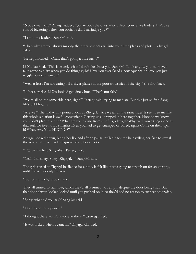"Not to mention," Zhyrgal added, "you're both the ones who fashion yourselves leaders. Isn't this sort of bickering below you both, or did I misjudge you?"

"I am not a leader," Sang Mi said.

"Then why are you always making the other students fall into your little plans and plots?" Zhyrgal asked.

Tsetseg frowned. "Okay, that's going a little far…"

Li Xiu laughed. "This is exactly what I don't like about you, Sang Mi. Look at you, you can't even take responsibility when you do things right! Have you ever faced a consequence or have you just wiggled out of them all?"

"Well at least I'm not eating off a silver platter in the poorest district of the city!" she shot back.

To her surprise, Li Xiu looked genuinely hurt. "That's not fair."

"We're all on the same side here, right?" Tsetseg said, trying to mediate. But this just shifted Sang Mi's bubbling ire.

"Are we?" she said with a pointed look at Zhyrgal. "Are we all on the same side? It seems to me like this whole situation is awful convenient. Getting us all trapped in here together. How do we know you didn't plan this, huh? What are you hiding from all of us, Zhyrgal? Why were you sitting alone in that stall for five hours straight? Even you had to get cramped or bored, right? Come on then, spill it! What. Are. You. HIDING?"

Zhyrgal looked down, biting her lip, and after a pause, pulled back the hair veiling her face to reveal the acne outbreak that had spread along her cheeks.

"...What the hell, Sang Mi?" Tsetseg said.

"Yeah. I'm sorry. Sorry, Zhyrgal…" Sang Mi said.

The girls stared at Zhyrgal in silence for a time. It felt like it was going to stretch on for an eternity, until it was suddenly broken.

"Go for a punch," a voice said.

They all turned to stall two, which they'd all assumed was empty despite the door being shut. But that door always looked locked until you pushed on it, so they'd had no reason to suspect otherwise.

"Sorry, what did you say?" Sang Mi said.

"I said to go for a punch."

"I thought there wasn't anyone in there?" Tsetseg asked.

"It was locked when I came in," Zhyrgal clarified.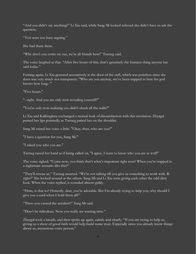"And you didn't say anything?" Li Xiu said, while Sang Mi looked relieved she didn't have to ask the question.

"You were too busy arguing."

She had them there.

"Why don't you come on out, we're all friends here!" Tsetseg said.

The voice laughed at that. "After five hours of this, that's genuinely the funniest thing anyone has said today."

Fuming again, Li Xiu gestured accusatively at the door of the stall, which was pointless since the door was very much not transparent. "Who are you anyway, we've been trapped in here for god knows how long--"

"Five hours."

"--right. And you are only now revealing yourself?"

"You're only now realizing you didn't check all the stalls?"

Li Xiu and Kalkingkata exchanged a mutual look of dissatisfaction with this revelation. Zhyrgal pursed her lips pointedly as Tsetseg patted her on the shoulder.

Sang Mi raised her voice a little. "Okay, then, who are you?"

"I have a question for you, Sang Mi."

"I asked you who you are."

Tsetseg raised her hand as if being called on. "I agree, I want to know who you are as well!"

The voice sighed. "Come now, you think that's what's important right now? When you're trapped in a nightmare scenario like this?"

"They'll rescue us," Tsetseg asserted. "We're not talking till you give us something to work with. Rright?" She looked around at the others. Sang Mi and Li Xiu were giving each other the odd dirty look. When the voice replied, it sounded almost giddy.

"Hmn, is that so? Honestly, dear, you're adorable. But I'm already trying to help you, why should I give you a card when I hold them all?"

"Then–you caused the accident?" Sang Mi said.

"Don't be ridiculous. Now you really are wasting time."

Zhyrgal took a breath, and then spoke up again, calmly and clearly. "If you are trying to help us, giving us a show of good faith would help build some trust. Especially since you already know things about us, mysterious voice person."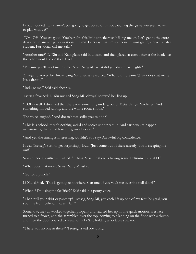Li Xiu nodded. "Plus, aren't you going to get bored of us not touching the game you seem to want to play with us?"

"Oh–OH! You are good. You're right, this little appetizer isn't filling me up. Let's get to the entre dears. So to answer your questions… hmn. Let's say that I'm someone in your grade, a new transfer student. For today, call me Saki."

"Another one?" Li Xiu and Kalingkata said in unison, and then glared at each other at the insolence the other would be on their level.

"I'm sure you'll meet me in time. Now, Sang Mi, what did you dream last night?"

Zhyrgal furrowed her brow. Sang Mi raised an eyebrow, "What did I dream? What does that matter. It's a dream."

"Indulge me," Saki said cheerily.

Tsetseg frowned; Li Xiu nudged Sang Mi. Zhyrgal screwed her lips up.

"...Okay well. I dreamed that there was something underground. Metal things. Machines. And something moved wrong, and the whole room shook."

The voice laughed. "And doesn't that strike you as odd?"

"This is a school, there's nothing weird and secret underneath it. And earthquakes happen occasionally, that's just how the ground works."

"And yet, the timing is interesting, wouldn't you say? An awful big coincidence."

It was Tsetseg's turn to get surprisingly loud. "Just come out of there already, this is creeping me out!"

Saki sounded positively chuffed. "I think Miss Jhe there is having some Delirium. Capital D."

"What does that mean, Saki?" Sang Mi asked.

"Go for a punch."

Li Xiu sighed. "This is getting us nowhere. Can one of you vault me over the stall door?"

"What if I'm using the facilities?" Saki said in a pouty voice.

"Then pull your skirt or pants up! Tsetseg, Sang Mi, you each lift up one of my feet. Zhyrgal, you spot me from behind in case I fall."

Somehow, they all worked together properly and vaulted her up in one quick motion. Her face turned to a frown, and she scrambled over the top, coming to a landing on the floor with a thump, and then the door opened to reveal only Li Xiu, holding a portable speaker.

"There was no one in there?" Tsetseg asked obviously.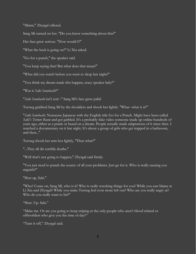"Mmm," Zhyrgal offered.

Sang Mi turned on her. "Do you know something about this?"

Her face grew serious. "How would I?"

"What the heck is going on?" Li Xiu asked.

"Go for a punch," the speaker said.

"You keep saying that! But what does that mean?"

"What did you watch before you went to sleep last night?"

"You think my dream made this happen, crazy speaker lady?"

"Was it *Saki Sanobashi*?"

"*Saki Sanobashi* isn't real--" Sang Mi's face grew palid.

Tsetseg grabbed Sang Mi by the shoulders and shook her lightly. "What--what is it?"

"*Saki Sanobashi*. Nonsense Japanese with the English title Go for a Punch. Might have been called *Saki's Torture Room* and got garbled. It's a probably-fake video someone made up online hundreds of years ago, either as a prank or based on a dream. People actually made adaptations of it since then. I watched a documentary on it last night. It's about a group of girls who get trapped in a bathroom, and then..."

Tsetseg shook her arm less lightly, "Then what?"

"...They all die terrible deaths."

"Well that's not going to happen," Zhyrgal said firmly.

"You just need to punch the source of all your problems. Just go for it. Who is really causing you anguish?"

"Shut up, Saki."

"Who? Come on, Sang Mi, who is it? Who is really wrecking things for you? While you cast blame at Li Xiu and Zhyrgal? While you make Tsetseg feel even more left out? Who are you really angry at? Who do you really want to hit?"

"Shut. Up. Saki."

"Make me. Or are you going to keep sniping at the only people who aren't blood related or offworlders who give you the time of day?"

"Turn it off," Zhyrgal said.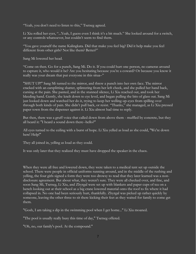"Yeah, you don't need to listen to this," Tsetseg agreed.

Li Xiu rolled her eyes, "...Yeah, I guess even I think it's a bit much." She looked around for a switch, or any controls whatsoever, but couldn't seem to find them.

"You gave yourself the name Kalingkata. Did that make you feel big? Did it help make you feel different from other girls? Not like them? Better?"

Sang Mi lowered her head.

"Come on then. Go for a punch, Sang Mi. Do it. If you could hurt one person, no cameras around to capture it, who would it be? Are you hesitating because you're a coward? Or because you know it really was your dream that put everyone in this situa–"

"SHUT UP!" Sang Mi turned to the mirror, and threw a punch into her own face. The mirror cracked with an earsplitting shatter, splintering from her left cheek, and she pulled her hand back, cursing at the pain. She panted, and in the stunned silence, Li Xiu reached out, and took her bleeding hand. Gently, she knelt down to eye level, and began pulling the bits of glass out. Sang Mi just looked down and watched her do it, trying to keep her welling-up-eyes from spilling over through both kinds of pain. She didn't pull back, or resist. "Thanks," she managed, as Li Xiu pressed paper town from the dispenser against it. Li Xiu almost had time to reply.

But then, there was a gruff voice that called down from above them - muffled by concrete, but they all heard it: "I heard a sound down there--hello?"

All eyes turned to the ceiling with a burst of hope. Li Xiu yelled as loud as she could, "We're down here! Help!"

They all joined in, yelling as loud as they could.

It was only later that they realized they must have dropped the speaker in the chaos.

When they were all free and lowered down, they were taken to a medical tent set up outside the school. There were people in official uniforms running around, and in the middle of the rushing and yelling, the four girls signed a form they were too drowsy to read that they later learned was a nondisclosure agreement. But about what, they weren't sure. They were all checked over, and fine, and soon Sang Mi, Tsetseg, Li Xiu, and Zhyrgal were set up with blankets and paper cups of tea on a bench looking out at their school as a big crane lowered material onto the roof to fix where it had collapsed in. No one had been seriously hurt, thankfully. Zhyrgal was picked up rather quickly by someone, leaving the other three to sit there kicking their feet as they waited for family to come get them.

"Gosh, I am taking a dip in the swimming pool when I get home..." Li Xiu moaned.

"The pool is usually really busy this time  $\overline{of}$  day," Tsetseg offered.

"Oh, no, our family's pool. At the compound."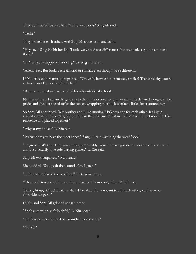They both stared back at her, "You own a pool?" Sang Mi said.

"Yeah?"

They looked at each other. And Sang Mi came to a conclusion.

"Hey so..." Sang Mi bit her lip. "Look, we've had our differences, but we made a good team back there."

"... After you stopped squabbling," Tsetseg muttered.

"Ahem. Yes. But look, we're all kind of similar, even though we're different."

Li Xiu crossed her arms unimpressed, "Oh yeah, how are we remotely similar? Tsetseg is shy, you're a clown, and I'm cool and popular."

"Because none of us have a lot of friends outside of school."

Neither of them had anything to say to that. Li Xiu tried to, but her attempts deflated along with her pride, and she just stared off at the sunset, wrapping the shock blanket a little closer around her.

So Sang Mi continued, "My brother and I like running RPG sessions for each other. Jae Hyun started showing up recently, but other than that it's usually just us... what if we all met up at the Cao residence and played together?"

"Why at my house?" Li Xiu said.

"Presumably you have the most space," Sang Mi said, avoiding the word 'pool'.

"...I guess that's true. Um, you know you probably wouldn't have guessed it because of how cool I am, but I actually love role playing games," Li Xiu said.

Sang Mi was surprised. "Wait really?"

She nodded, "So... yeah that sounds fun. I guess."

"... I've never played them before," Tsetseg muttered.

"Then we'll teach you! You can bring Bashrat if you want," Sang Mi offered.

Tsetseg lit up, "Okay! That... yeah. I'd like that. Do you want to add each other, you know, on CitrusMessenger..."

Li Xiu and Sang Mi grinned at each other.

"She's cute when she's bashful," Li Xiu noted.

"Don't tease her too hard, we want her to show up!"

"GUYS!"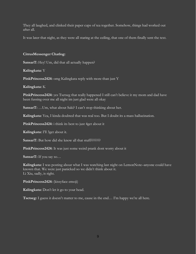They all laughed, and clinked their paper cups of tea together. Somehow, things had worked out after all.

It was later that night, as they were all staring at the ceiling, that one of them finally sent the text.

#### **CitrusMessenger Chatlog:**

**SansarT:** Hey! Um, did that all actually happen?

**Kalingkata:** Y

**PinkPrincess2424:** omg Kalingkata reply with more than just Y

#### **Kalingkata:** K

PinkPrincess2424: yes Tsetseg that really happened I still can't believe it my mom and dad have been fussing over me all night im just glad were all okay

**SansarT:** …Um, what about Saki? I can't stop thinking about her.

**Kalingkata:** Yea, I kinda doubted that was real too. But I doubt its a mass hallucination.

**PinkPrincess2424:** i think its best to just 4get about it

**Kalingkata:** I'll 3get about it.

SansarT: But how did she know all that stuff????????

**PinkPrincess2424:** It was just some weird prank dont worry about it

**SansarT:** If you say so…

**Kalingkata:** I was posting about what I was watching last night on LemonNote–anyone could have known that. We were just panicked so we didn't think about it. Li Xiu, sadly, is right.

**PinkPrincess2424:** (kissyface emoji)

**Kalingkata:** Don't let it go to your head.

**Tsetseg:** I guess it doesn't matter to me, cause in the end… I'm happy we're all here.